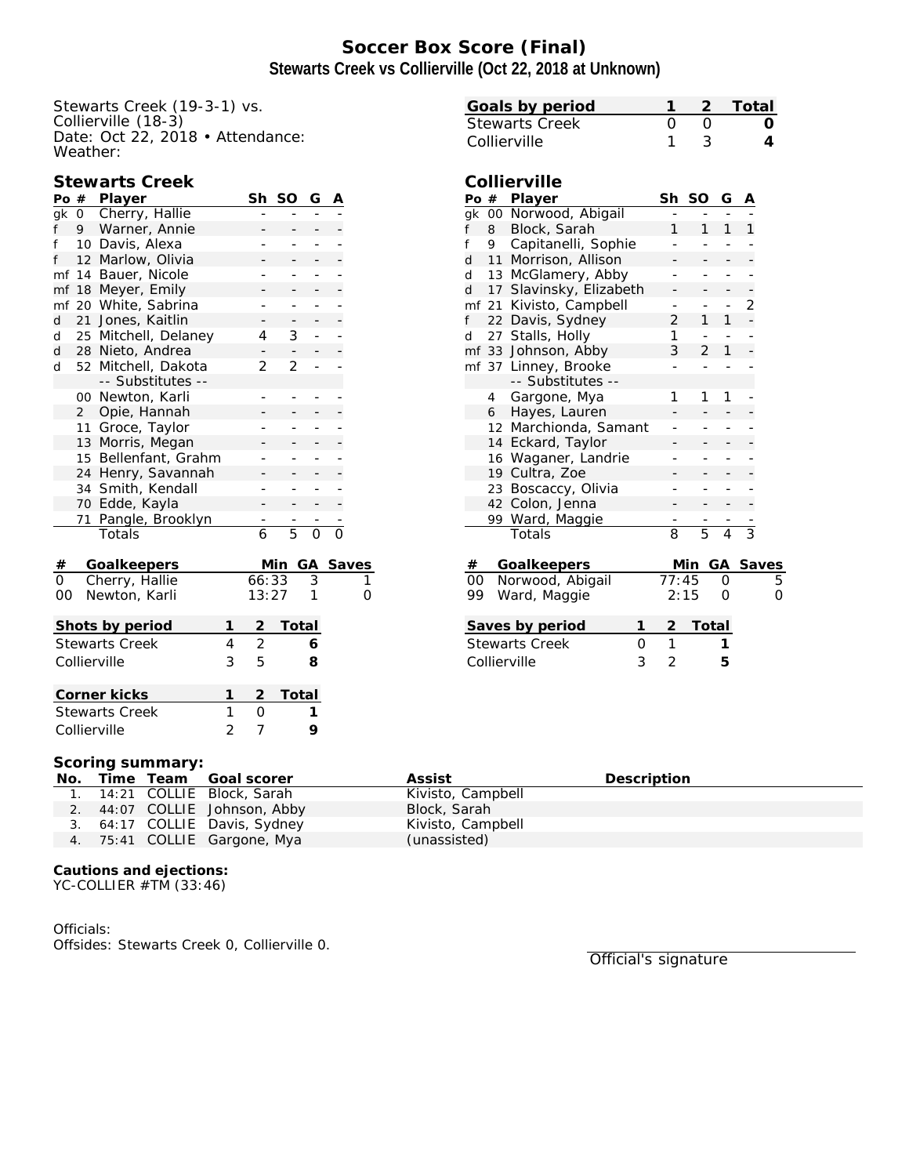# **Soccer Box Score (Final) Stewarts Creek vs Collierville (Oct 22, 2018 at Unknown)**

Stewarts Creek (19-3-1) vs. Collierville (18-3) Date: Oct 22, 2018 • Attendance: Weather:

### **Stewarts Creek**

| Po $#$                         |                | Player                |   | Sh             | <b>SO</b>      | G                  | Α                         |   |
|--------------------------------|----------------|-----------------------|---|----------------|----------------|--------------------|---------------------------|---|
|                                |                | gk 0 Cherry, Hallie   |   |                |                |                    |                           |   |
| f                              | 9              | Warner, Annie         |   |                |                |                    |                           |   |
| f                              | 10             | Davis, Alexa          |   |                |                | -                  |                           |   |
| f                              | 12             | Marlow, Olivia        |   |                |                |                    |                           |   |
|                                |                | mf 14 Bauer, Nicole   |   |                |                | -                  |                           |   |
| mf                             |                | 18 Meyer, Emily       |   |                |                |                    |                           |   |
| mf                             |                | 20 White, Sabrina     |   |                | -              | -                  |                           |   |
| d                              | 21             | Jones, Kaitlin        |   |                |                |                    |                           |   |
| d                              |                | 25 Mitchell, Delaney  |   | 4              | 3              | ÷,                 |                           |   |
| d                              |                | 28 Nieto, Andrea      |   |                |                |                    |                           |   |
| d                              |                | 52 Mitchell, Dakota   |   | $\overline{2}$ | $\overline{2}$ |                    |                           |   |
|                                |                | -- Substitutes --     |   |                |                |                    |                           |   |
|                                |                | 00 Newton, Karli      |   |                |                |                    |                           |   |
|                                | $\overline{2}$ | Opie, Hannah          |   |                |                |                    |                           |   |
|                                |                | 11 Groce, Taylor      |   |                |                | -                  |                           |   |
|                                |                | 13 Morris, Megan      |   |                |                | -                  |                           |   |
|                                |                | 15 Bellenfant, Grahm  |   |                |                | -                  |                           |   |
|                                |                | 24 Henry, Savannah    |   |                |                |                    |                           |   |
|                                |                | 34 Smith, Kendall     |   |                |                |                    |                           |   |
|                                |                | 70 Edde, Kayla        |   |                |                |                    |                           |   |
|                                | 71             | Pangle, Brooklyn      |   |                |                |                    |                           |   |
|                                |                | Totals                |   | $\overline{6}$ | $\overline{5}$ | $\overline{\circ}$ | $\overline{\overline{O}}$ |   |
| #                              |                | Goalkeepers           |   |                | Min            |                    | GA Saves                  |   |
| $\overline{0}$                 |                | Cherry, Hallie        |   | 66:33          |                | 3                  |                           |   |
| OO                             |                | Newton, Karli         |   | 13:27          |                | 1                  |                           | O |
|                                |                | Shots by period       | 1 | $\overline{2}$ | Total          |                    |                           |   |
|                                |                | <b>Stewarts Creek</b> | 4 | $\overline{2}$ |                | 6                  |                           |   |
|                                |                | Collierville          | 3 | 5              |                | 8                  |                           |   |
|                                |                | Corner kicks          | 1 | $\overline{2}$ | Total          |                    |                           |   |
|                                |                | <b>Stewarts Creek</b> | 1 | $\overline{O}$ |                | 1                  |                           |   |
| $\overline{2}$<br>Collierville |                |                       |   |                |                | 9                  |                           |   |

| Goals by period       |     | -2 Total |
|-----------------------|-----|----------|
| <b>Stewarts Creek</b> |     |          |
| Collierville          | - 3 |          |

### **Collierville**

| Po                         | #      | Player               |  | Sh             | SO             | G              | А              |       |
|----------------------------|--------|----------------------|--|----------------|----------------|----------------|----------------|-------|
| gk                         | $00\,$ | Norwood, Abigail     |  |                |                |                |                |       |
| f                          | 8      | Block, Sarah         |  | 1              | 1              | 1              | 1              |       |
| f                          | 9      | Capitanelli, Sophie  |  |                |                |                |                |       |
| d                          | 11     | Morrison, Allison    |  |                |                |                |                |       |
| d                          |        | 13 McGlamery, Abby   |  |                |                |                |                |       |
| d                          | 17     | Slavinsky, Elizabeth |  |                |                |                |                |       |
| mf                         | 21     | Kivisto, Campbell    |  |                |                | ÷              | 2              |       |
| f                          | 22     | Davis, Sydney        |  | $\overline{2}$ | 1              | 1              | $\overline{a}$ |       |
| d                          | 27     | Stalls, Holly        |  | 1              | -              |                |                |       |
| mf                         | 33     | Johnson, Abby        |  | 3              | $\overline{2}$ | 1              |                |       |
| mf                         |        | 37 Linney, Brooke    |  |                |                |                |                |       |
|                            |        | -- Substitutes --    |  |                |                |                |                |       |
|                            | 4      | Gargone, Mya         |  | 1              | 1              | 1              |                |       |
|                            | 6      | Hayes, Lauren        |  |                |                |                |                |       |
|                            | 12     | Marchionda, Samant   |  |                |                |                |                |       |
|                            | 14     | Eckard, Taylor       |  |                |                |                |                |       |
|                            | 16     | Waganer, Landrie     |  |                |                |                |                |       |
|                            | 19     | Cultra, Zoe          |  |                |                |                |                |       |
|                            |        | 23 Boscaccy, Olivia  |  |                |                |                |                |       |
|                            |        | 42 Colon, Jenna      |  |                |                |                |                |       |
|                            | 99     | Ward, Maggie         |  |                |                |                |                |       |
|                            |        | Totals               |  | 8              | $\overline{5}$ | $\overline{4}$ | $\overline{3}$ |       |
|                            |        |                      |  |                |                |                |                |       |
| #                          |        | <b>Goalkeepers</b>   |  |                | Min            | GА             |                | Saves |
| OO.                        |        | Norwood, Abigail     |  | 77:45          |                | Ο              |                | 5     |
| 99                         |        | Ward, Maggie         |  | 2:15           |                | 0              |                | O     |
|                            |        |                      |  |                |                |                |                |       |
| Saves by period<br>1       |        |                      |  | $\overline{2}$ | Total          |                |                |       |
| <b>Stewarts Creek</b><br>0 |        |                      |  | 1              |                | 1              |                |       |
| Collierville<br>3          |        |                      |  | $\overline{2}$ |                | 5              |                |       |
|                            |        |                      |  |                |                |                |                |       |

#### **Scoring summary:**

| No. |  | Time Team Goal scorer         | Assist            | Description |
|-----|--|-------------------------------|-------------------|-------------|
|     |  | 1. 14:21 COLLIE Block, Sarah  | Kivisto, Campbell |             |
|     |  | 2. 44:07 COLLIE Johnson, Abby | Block, Sarah      |             |
|     |  | 3. 64:17 COLLIE Davis, Sydney | Kivisto, Campbell |             |
|     |  | 4. 75:41 COLLIE Gargone, Mya  | (unassisted)      |             |

**Cautions and ejections:** YC-COLLIER #TM (33:46)

Officials: Offsides: Stewarts Creek 0, Collierville 0.

Official's signature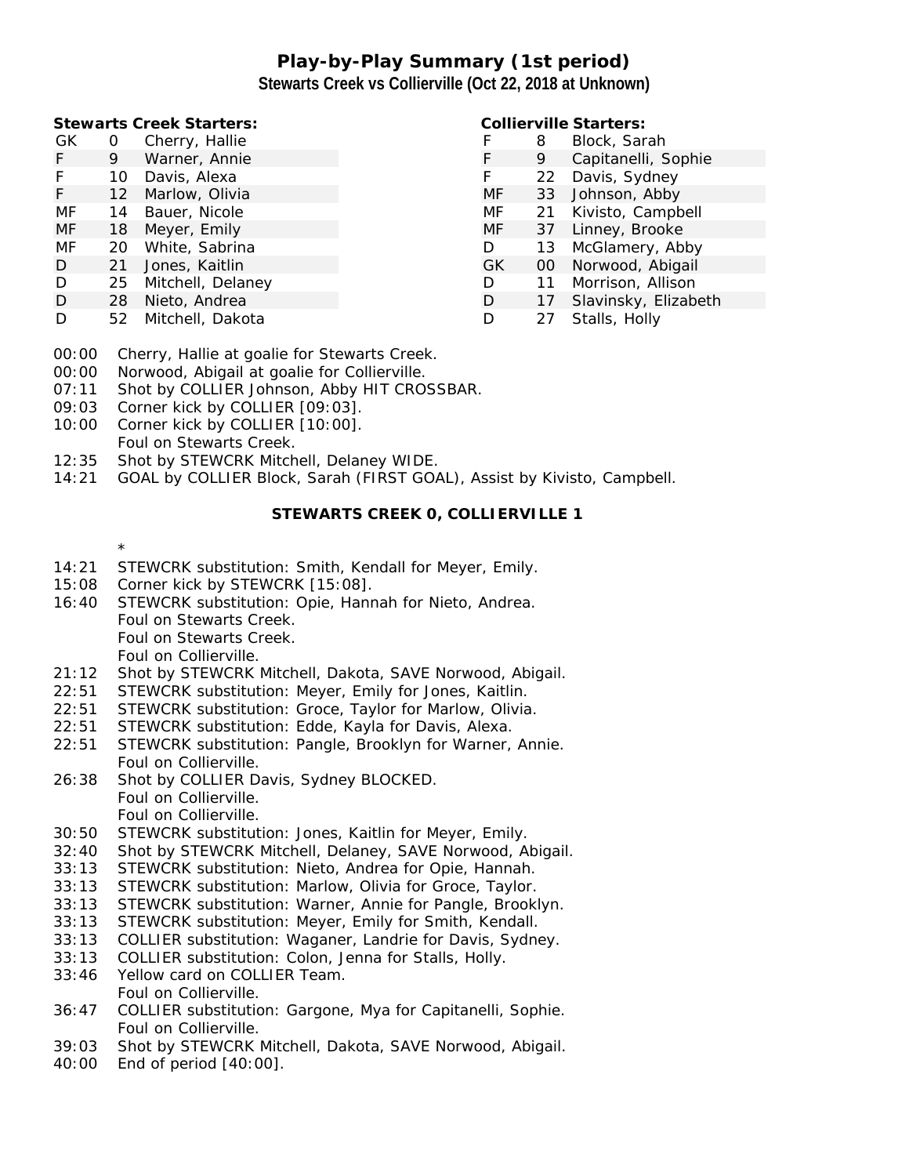## **Play-by-Play Summary (1st period) Stewarts Creek vs Collierville (Oct 22, 2018 at Unknown)**

**Stewarts Creek Starters:**

| GK | Ω  | Cherry, Hallie    |
|----|----|-------------------|
| F  | 9  | Warner, Annie     |
| F  | 10 | Davis, Alexa      |
| F  | 12 | Marlow, Olivia    |
| МF | 14 | Bauer, Nicole     |
| MF | 18 | Meyer, Emily      |
| МF | 20 | White, Sabrina    |
| D  | 21 | Jones, Kaitlin    |
| D  | 25 | Mitchell, Delaney |
| D  | 28 | Nieto, Andrea     |

D 52 Mitchell, Dakota

**Collierville Starters:**

| F         | 8   | Block, Sarah         |
|-----------|-----|----------------------|
| F         | 9   | Capitanelli, Sophie  |
| F         | 22  | Davis, Sydney        |
| МF        | 33  | Johnson, Abby        |
| MF        | 21  | Kivisto, Campbell    |
| МF        | 37  | Linney, Brooke       |
| D         | 13  | McGlamery, Abby      |
| <b>GK</b> | OO. | Norwood, Abigail     |
| D         | 11  | Morrison, Allison    |
| D         | 17  | Slavinsky, Elizabeth |
| D         | 27  | Stalls, Holly        |

- 00:00 Cherry, Hallie at goalie for Stewarts Creek.
- 00:00 Norwood, Abigail at goalie for Collierville.
- 07:11 Shot by COLLIER Johnson, Abby HIT CROSSBAR.
- 09:03 Corner kick by COLLIER [09:03].
- 10:00 Corner kick by COLLIER [10:00]. Foul on Stewarts Creek.
- 12:35 Shot by STEWCRK Mitchell, Delaney WIDE.
- 14:21 GOAL by COLLIER Block, Sarah (FIRST GOAL), Assist by Kivisto, Campbell.

#### **STEWARTS CREEK 0, COLLIERVILLE 1**

\*

- 14:21 STEWCRK substitution: Smith, Kendall for Meyer, Emily.
- 15:08 Corner kick by STEWCRK [15:08].
- 16:40 STEWCRK substitution: Opie, Hannah for Nieto, Andrea. Foul on Stewarts Creek. Foul on Stewarts Creek.
	- Foul on Collierville.
- 21:12 Shot by STEWCRK Mitchell, Dakota, SAVE Norwood, Abigail.
- 22:51 STEWCRK substitution: Meyer, Emily for Jones, Kaitlin.
- 22:51 STEWCRK substitution: Groce, Taylor for Marlow, Olivia.
- 22:51 STEWCRK substitution: Edde, Kayla for Davis, Alexa.
- 22:51 STEWCRK substitution: Pangle, Brooklyn for Warner, Annie. Foul on Collierville.
- 26:38 Shot by COLLIER Davis, Sydney BLOCKED. Foul on Collierville. Foul on Collierville.
- 30:50 STEWCRK substitution: Jones, Kaitlin for Meyer, Emily.
- 32:40 Shot by STEWCRK Mitchell, Delaney, SAVE Norwood, Abigail.
- 33:13 STEWCRK substitution: Nieto, Andrea for Opie, Hannah.
- 33:13 STEWCRK substitution: Marlow, Olivia for Groce, Taylor.
- 33:13 STEWCRK substitution: Warner, Annie for Pangle, Brooklyn.
- 33:13 STEWCRK substitution: Meyer, Emily for Smith, Kendall.
- 33:13 COLLIER substitution: Waganer, Landrie for Davis, Sydney.
- 33:13 COLLIER substitution: Colon, Jenna for Stalls, Holly.
- 33:46 Yellow card on COLLIER Team. Foul on Collierville.
- 36:47 COLLIER substitution: Gargone, Mya for Capitanelli, Sophie. Foul on Collierville.
- 39:03 Shot by STEWCRK Mitchell, Dakota, SAVE Norwood, Abigail.
- 40:00 End of period [40:00].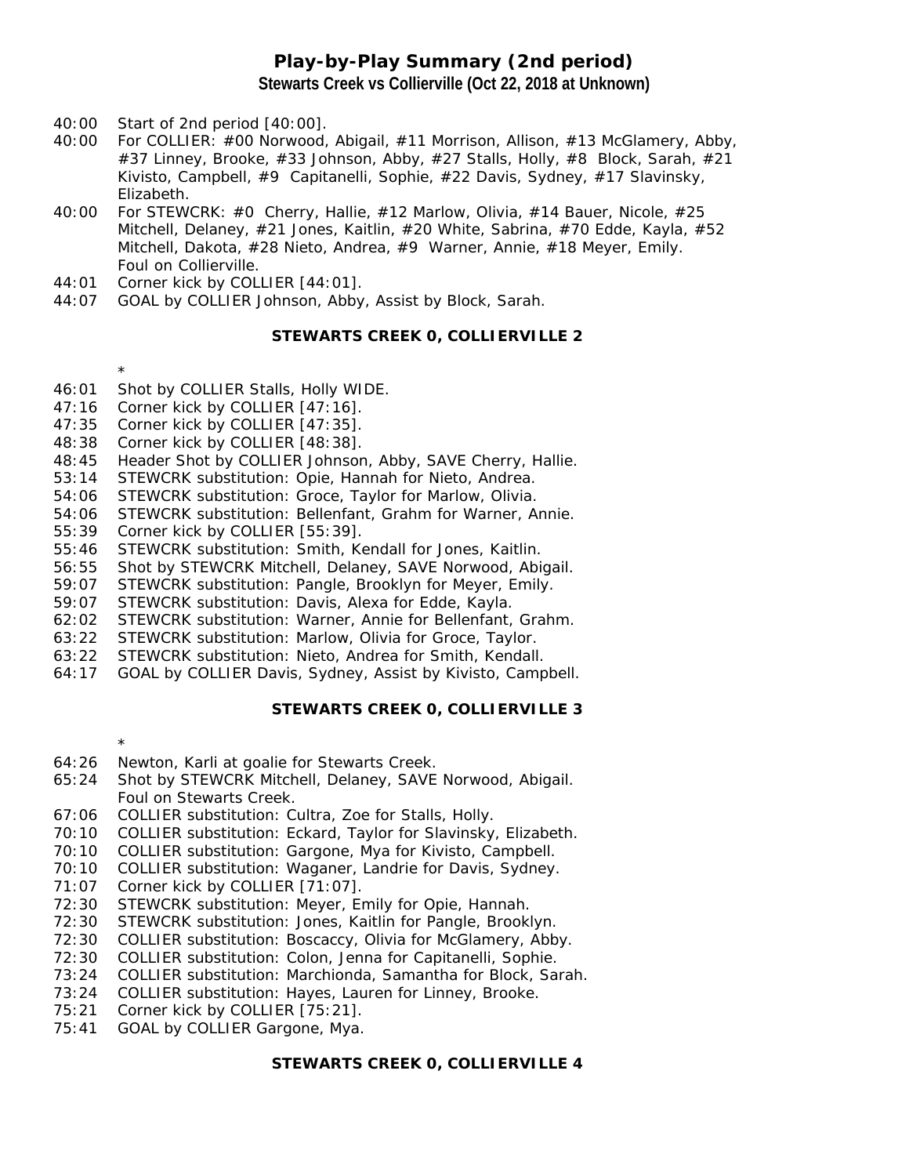### **Play-by-Play Summary (2nd period) Stewarts Creek vs Collierville (Oct 22, 2018 at Unknown)**

- 40:00 Start of 2nd period [40:00].
- 40:00 For COLLIER: #00 Norwood, Abigail, #11 Morrison, Allison, #13 McGlamery, Abby, #37 Linney, Brooke, #33 Johnson, Abby, #27 Stalls, Holly, #8 Block, Sarah, #21 Kivisto, Campbell, #9 Capitanelli, Sophie, #22 Davis, Sydney, #17 Slavinsky, Elizabeth.
- 40:00 For STEWCRK: #0 Cherry, Hallie, #12 Marlow, Olivia, #14 Bauer, Nicole, #25 Mitchell, Delaney, #21 Jones, Kaitlin, #20 White, Sabrina, #70 Edde, Kayla, #52 Mitchell, Dakota, #28 Nieto, Andrea, #9 Warner, Annie, #18 Meyer, Emily. Foul on Collierville.
- 44:01 Corner kick by COLLIER [44:01].
- 44:07 GOAL by COLLIER Johnson, Abby, Assist by Block, Sarah.

#### **STEWARTS CREEK 0, COLLIERVILLE 2**

\*

\*

- 46:01 Shot by COLLIER Stalls, Holly WIDE.
- 47:16 Corner kick by COLLIER [47:16].
- 47:35 Corner kick by COLLIER [47:35].
- 48:38 Corner kick by COLLIER [48:38].
- 48:45 Header Shot by COLLIER Johnson, Abby, SAVE Cherry, Hallie.
- 53:14 STEWCRK substitution: Opie, Hannah for Nieto, Andrea.
- 54:06 STEWCRK substitution: Groce, Taylor for Marlow, Olivia.
- 54:06 STEWCRK substitution: Bellenfant, Grahm for Warner, Annie.
- 55:39 Corner kick by COLLIER [55:39].
- 55:46 STEWCRK substitution: Smith, Kendall for Jones, Kaitlin.
- 56:55 Shot by STEWCRK Mitchell, Delaney, SAVE Norwood, Abigail.
- 59:07 STEWCRK substitution: Pangle, Brooklyn for Meyer, Emily.<br>59:07 STEWCRK substitution: Davis, Alexa for Edde, Kayla.
- STEWCRK substitution: Davis, Alexa for Edde, Kayla.
- 62:02 STEWCRK substitution: Warner, Annie for Bellenfant, Grahm.
- 63:22 STEWCRK substitution: Marlow, Olivia for Groce, Taylor.
- 63:22 STEWCRK substitution: Nieto, Andrea for Smith, Kendall.
- 64:17 GOAL by COLLIER Davis, Sydney, Assist by Kivisto, Campbell.

**STEWARTS CREEK 0, COLLIERVILLE 3**

- 64:26 Newton, Karli at goalie for Stewarts Creek.
- 65:24 Shot by STEWCRK Mitchell, Delaney, SAVE Norwood, Abigail. Foul on Stewarts Creek.
- 67:06 COLLIER substitution: Cultra, Zoe for Stalls, Holly.
- 70:10 COLLIER substitution: Eckard, Taylor for Slavinsky, Elizabeth.
- 70:10 COLLIER substitution: Gargone, Mya for Kivisto, Campbell.
- 70:10 COLLIER substitution: Waganer, Landrie for Davis, Sydney.
- 71:07 Corner kick by COLLIER [71:07].
- 72:30 STEWCRK substitution: Meyer, Emily for Opie, Hannah.
- 72:30 STEWCRK substitution: Jones, Kaitlin for Pangle, Brooklyn.
- 72:30 COLLIER substitution: Boscaccy, Olivia for McGlamery, Abby.
- 72:30 COLLIER substitution: Colon, Jenna for Capitanelli, Sophie.
- 73:24 COLLIER substitution: Marchionda, Samantha for Block, Sarah.
- 73:24 COLLIER substitution: Hayes, Lauren for Linney, Brooke.
- 75:21 Corner kick by COLLIER [75:21].
- 75:41 GOAL by COLLIER Gargone, Mya.